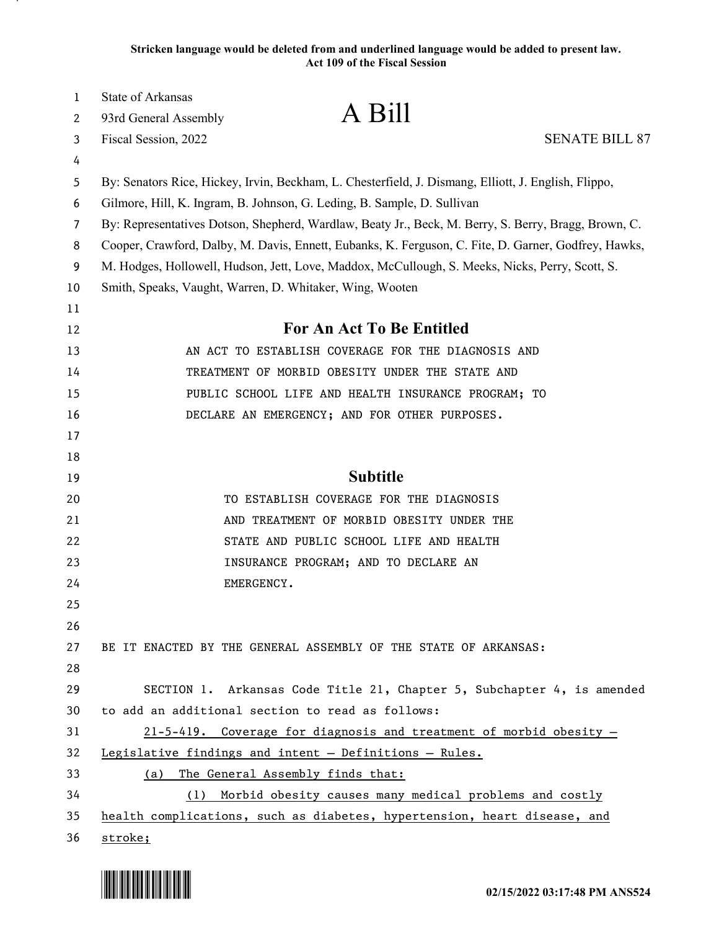**Stricken language would be deleted from and underlined language would be added to present law. Act 109 of the Fiscal Session**

| 1      | State of Arkansas                                                       | A Bill                                                                                               |
|--------|-------------------------------------------------------------------------|------------------------------------------------------------------------------------------------------|
| 2      | 93rd General Assembly                                                   | <b>SENATE BILL 87</b>                                                                                |
| 3<br>4 | Fiscal Session, 2022                                                    |                                                                                                      |
| 5      |                                                                         | By: Senators Rice, Hickey, Irvin, Beckham, L. Chesterfield, J. Dismang, Elliott, J. English, Flippo, |
| 6      | Gilmore, Hill, K. Ingram, B. Johnson, G. Leding, B. Sample, D. Sullivan |                                                                                                      |
| 7      |                                                                         | By: Representatives Dotson, Shepherd, Wardlaw, Beaty Jr., Beck, M. Berry, S. Berry, Bragg, Brown, C. |
| 8      |                                                                         | Cooper, Crawford, Dalby, M. Davis, Ennett, Eubanks, K. Ferguson, C. Fite, D. Garner, Godfrey, Hawks, |
| 9      |                                                                         | M. Hodges, Hollowell, Hudson, Jett, Love, Maddox, McCullough, S. Meeks, Nicks, Perry, Scott, S.      |
| 10     | Smith, Speaks, Vaught, Warren, D. Whitaker, Wing, Wooten                |                                                                                                      |
| 11     |                                                                         |                                                                                                      |
| 12     |                                                                         | For An Act To Be Entitled                                                                            |
| 13     |                                                                         | AN ACT TO ESTABLISH COVERAGE FOR THE DIAGNOSIS AND                                                   |
| 14     |                                                                         | TREATMENT OF MORBID OBESITY UNDER THE STATE AND                                                      |
| 15     |                                                                         | PUBLIC SCHOOL LIFE AND HEALTH INSURANCE PROGRAM; TO                                                  |
| 16     |                                                                         | DECLARE AN EMERGENCY; AND FOR OTHER PURPOSES.                                                        |
| 17     |                                                                         |                                                                                                      |
| 18     |                                                                         |                                                                                                      |
| 19     |                                                                         | <b>Subtitle</b>                                                                                      |
| 20     |                                                                         | TO ESTABLISH COVERAGE FOR THE DIAGNOSIS                                                              |
| 21     |                                                                         | AND TREATMENT OF MORBID OBESITY UNDER THE                                                            |
| 22     |                                                                         | STATE AND PUBLIC SCHOOL LIFE AND HEALTH                                                              |
| 23     |                                                                         | INSURANCE PROGRAM; AND TO DECLARE AN                                                                 |
| 24     | EMERGENCY.                                                              |                                                                                                      |
| 25     |                                                                         |                                                                                                      |
| 26     |                                                                         |                                                                                                      |
| 27     | BE IT ENACTED BY THE GENERAL ASSEMBLY OF THE STATE OF ARKANSAS:         |                                                                                                      |
| 28     |                                                                         |                                                                                                      |
| 29     |                                                                         | SECTION 1. Arkansas Code Title 21, Chapter 5, Subchapter 4, is amended                               |
| 30     | to add an additional section to read as follows:                        |                                                                                                      |
| 31     |                                                                         | $21-5-419$ . Coverage for diagnosis and treatment of morbid obesity -                                |
| 32     | Legislative findings and intent - Definitions - Rules.                  |                                                                                                      |
| 33     | The General Assembly finds that:<br>(a)                                 |                                                                                                      |
| 34     |                                                                         | (1) Morbid obesity causes many medical problems and costly                                           |
| 35     |                                                                         | health complications, such as diabetes, hypertension, heart disease, and                             |
| 36     | stroke;                                                                 |                                                                                                      |

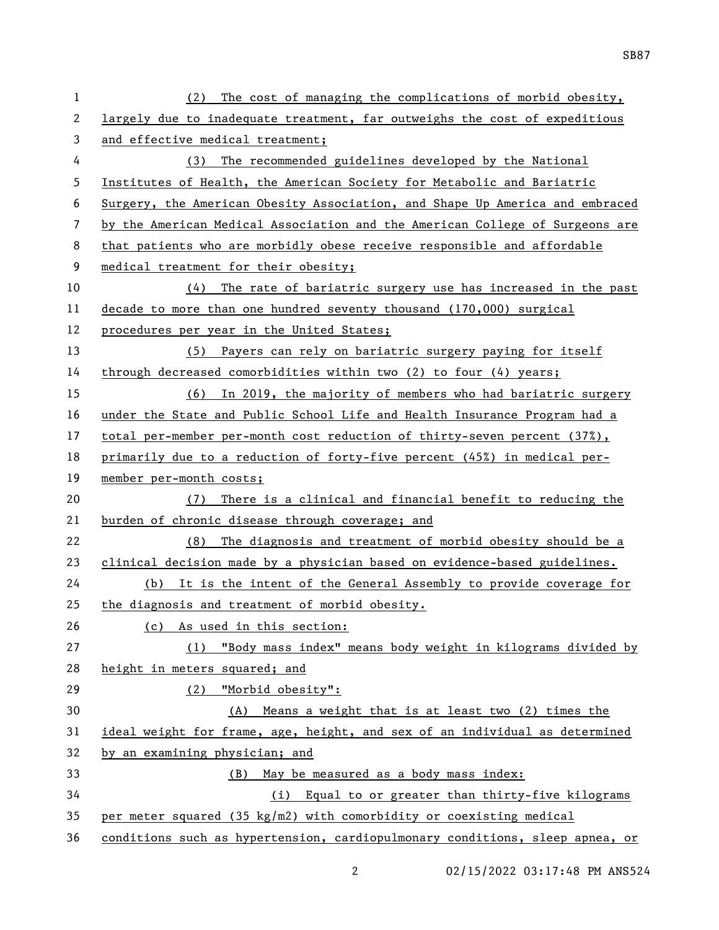| $\mathbf{1}$ | (2) The cost of managing the complications of morbid obesity,                 |
|--------------|-------------------------------------------------------------------------------|
| 2            | largely due to inadequate treatment, far outweighs the cost of expeditious    |
| 3            | and effective medical treatment;                                              |
| 4            | (3) The recommended guidelines developed by the National                      |
| 5            | Institutes of Health, the American Society for Metabolic and Bariatric        |
| 6            | Surgery, the American Obesity Association, and Shape Up America and embraced  |
| 7            | by the American Medical Association and the American College of Surgeons are  |
| 8            | that patients who are morbidly obese receive responsible and affordable       |
| 9            | medical treatment for their obesity;                                          |
| 10           | $(4)$ The rate of bariatric surgery use has increased in the past             |
| 11           | decade to more than one hundred seventy thousand (170,000) surgical           |
| 12           | procedures per year in the United States;                                     |
| 13           | (5) Payers can rely on bariatric surgery paying for itself                    |
| 14           | through decreased comorbidities within two (2) to four (4) years;             |
| 15           | (6) In 2019, the majority of members who had bariatric surgery                |
| 16           | under the State and Public School Life and Health Insurance Program had a     |
| 17           | total per-member per-month cost reduction of thirty-seven percent (37%),      |
| 18           | primarily due to a reduction of forty-five percent (45%) in medical per-      |
| 19           | member per-month costs;                                                       |
|              |                                                                               |
| 20           | (7) There is a clinical and financial benefit to reducing the                 |
| 21           | burden of chronic disease through coverage; and                               |
| 22           | (8) The diagnosis and treatment of morbid obesity should be a                 |
| 23           | clinical decision made by a physician based on evidence-based guidelines.     |
| 24           | (b) It is the intent of the General Assembly to provide coverage for          |
| 25           | the diagnosis and treatment of morbid obesity.                                |
| 26           | (c) As used in this section:                                                  |
| 27           | (1) "Body mass index" means body weight in kilograms divided by               |
| 28           | height in meters squared; and                                                 |
| 29           | (2) "Morbid obesity":                                                         |
| 30           | (A) Means a weight that is at least two (2) times the                         |
| 31           | ideal weight for frame, age, height, and sex of an individual as determined   |
| 32           | by an examining physician; and                                                |
| 33           | (B) May be measured as a body mass index:                                     |
| 34           | (i) Equal to or greater than thirty-five kilograms                            |
| 35           | per meter squared $(35 \text{ kg/m2})$ with comorbidity or coexisting medical |

2 02/15/2022 03:17:48 PM ANS524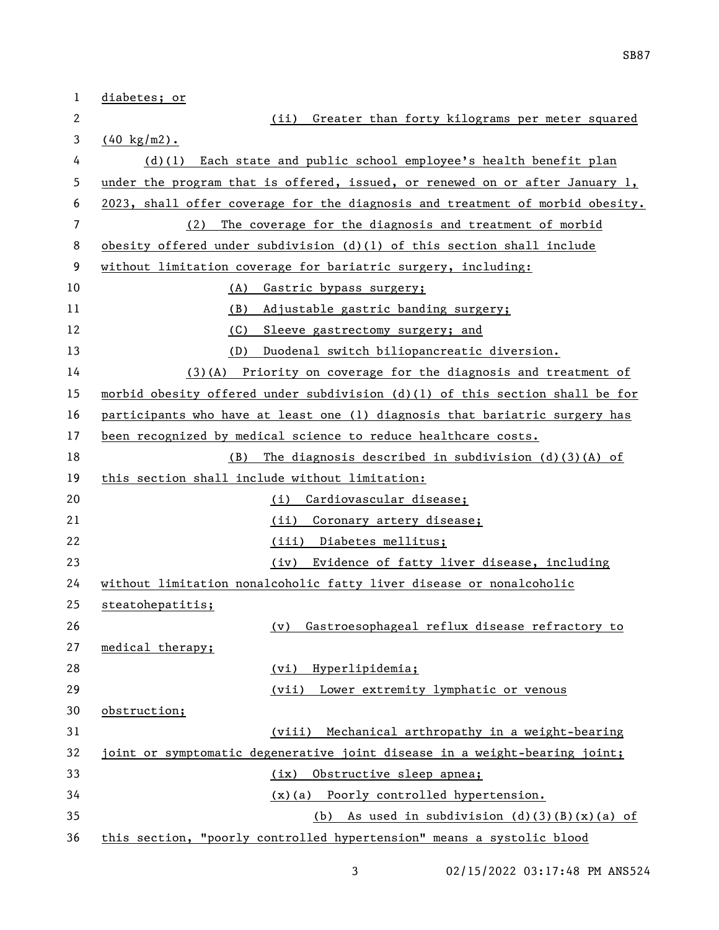| 1  | diabetes; or                                                                  |
|----|-------------------------------------------------------------------------------|
| 2  | Greater than forty kilograms per meter squared<br>(ii)                        |
| 3  | $(40 \text{ kg/m2})$ .                                                        |
| 4  | (d)(l) Each state and public school employee's health benefit plan            |
| 5  | under the program that is offered, issued, or renewed on or after January 1,  |
| 6  | 2023, shall offer coverage for the diagnosis and treatment of morbid obesity. |
| 7  | (2) The coverage for the diagnosis and treatment of morbid                    |
| 8  | obesity offered under subdivision $(d)(1)$ of this section shall include      |
| 9  | without limitation coverage for bariatric surgery, including:                 |
| 10 | (A)<br>Gastric bypass surgery;                                                |
| 11 | (B) Adjustable gastric banding surgery;                                       |
| 12 | (C) Sleeve gastrectomy surgery; and                                           |
| 13 | (D)<br>Duodenal switch biliopancreatic diversion.                             |
| 14 | $(3)(A)$ Priority on coverage for the diagnosis and treatment of              |
| 15 | morbid obesity offered under subdivision (d)(l) of this section shall be for  |
| 16 | participants who have at least one (1) diagnosis that bariatric surgery has   |
| 17 | been recognized by medical science to reduce healthcare costs.                |
| 18 | The diagnosis described in subdivision $(d)(3)(A)$ of<br>(B)                  |
| 19 | this section shall include without limitation:                                |
| 20 | Cardiovascular disease;<br>(i)                                                |
| 21 | (ii) Coronary artery disease;                                                 |
| 22 | (iii) Diabetes mellitus;                                                      |
| 23 | (iv) Evidence of fatty liver disease, including                               |
| 24 | without limitation nonalcoholic fatty liver disease or nonalcoholic           |
| 25 | steatohepatitis;                                                              |
| 26 | Gastroesophageal reflux disease refractory to<br>(v)                          |
| 27 | medical therapy;                                                              |
| 28 | (vi) Hyperlipidemia;                                                          |
| 29 | (vii) Lower extremity lymphatic or venous                                     |
| 30 | obstruction;                                                                  |
| 31 | (viii) Mechanical arthropathy in a weight-bearing                             |
| 32 | joint or symptomatic degenerative joint disease in a weight-bearing joint;    |
| 33 | Obstructive sleep apnea;<br>(ix)                                              |
| 34 | (x)(a) Poorly controlled hypertension.                                        |
| 35 | As used in subdivision $(d)(3)(B)(x)(a)$ of<br>(b)                            |
| 36 | this section, "poorly controlled hypertension" means a systolic blood         |

3 02/15/2022 03:17:48 PM ANS524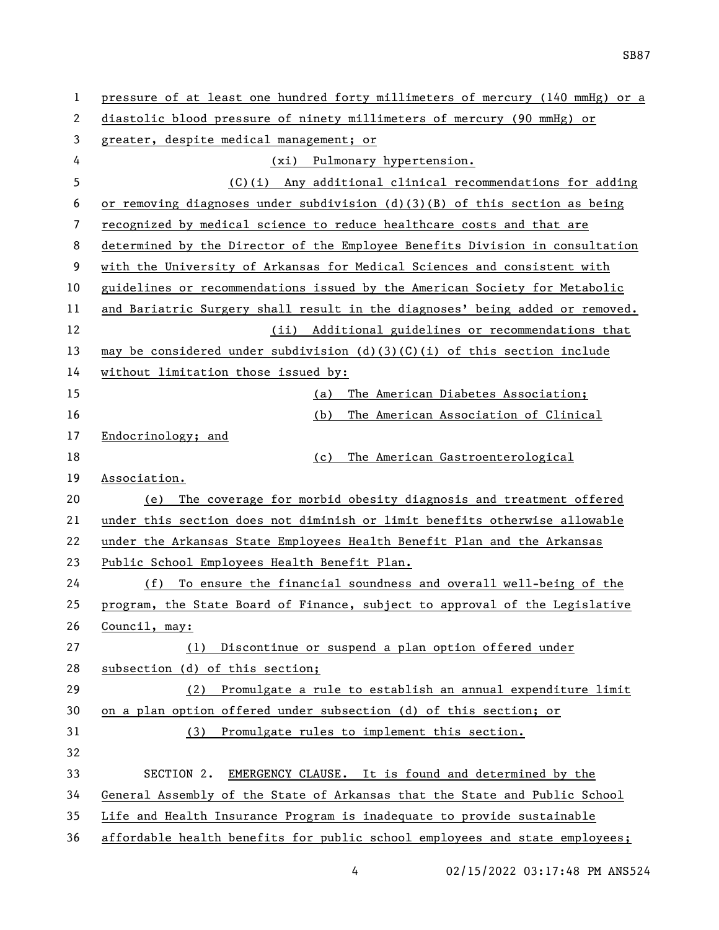| 1  | pressure of at least one hundred forty millimeters of mercury (140 mmHg) or a |
|----|-------------------------------------------------------------------------------|
| 2  | diastolic blood pressure of ninety millimeters of mercury (90 mmHg) or        |
| 3  | greater, despite medical management; or                                       |
| 4  | (xi) Pulmonary hypertension.                                                  |
| 5  | (C)(i) Any additional clinical recommendations for adding                     |
| 6  | or removing diagnoses under subdivision $(d)(3)(B)$ of this section as being  |
| 7  | recognized by medical science to reduce healthcare costs and that are         |
| 8  | determined by the Director of the Employee Benefits Division in consultation  |
| 9  | with the University of Arkansas for Medical Sciences and consistent with      |
| 10 | guidelines or recommendations issued by the American Society for Metabolic    |
| 11 | and Bariatric Surgery shall result in the diagnoses' being added or removed.  |
| 12 | (ii) Additional guidelines or recommendations that                            |
| 13 | may be considered under subdivision $(d)(3)(C)(i)$ of this section include    |
| 14 | without limitation those issued by:                                           |
| 15 | The American Diabetes Association;<br>(a)                                     |
| 16 | The American Association of Clinical<br>(b)                                   |
| 17 | Endocrinology; and                                                            |
| 18 | The American Gastroenterological<br>(c)                                       |
| 19 | Association.                                                                  |
| 20 | The coverage for morbid obesity diagnosis and treatment offered<br>(e)        |
| 21 | under this section does not diminish or limit benefits otherwise allowable    |
| 22 | under the Arkansas State Employees Health Benefit Plan and the Arkansas       |
| 23 | Public School Employees Health Benefit Plan.                                  |
| 24 | To ensure the financial soundness and overall well-being of the<br>(f)        |
| 25 | program, the State Board of Finance, subject to approval of the Legislative   |
| 26 | Council, may:                                                                 |
| 27 | Discontinue or suspend a plan option offered under<br>(1)                     |
| 28 | subsection (d) of this section;                                               |
| 29 | Promulgate a rule to establish an annual expenditure limit<br>(2)             |
| 30 | on a plan option offered under subsection (d) of this section; or             |
| 31 | Promulgate rules to implement this section.<br>(3)                            |
| 32 |                                                                               |
| 33 | EMERGENCY CLAUSE. It is found and determined by the<br>SECTION 2.             |
| 34 | General Assembly of the State of Arkansas that the State and Public School    |
| 35 | Life and Health Insurance Program is inadequate to provide sustainable        |
| 36 | affordable health benefits for public school employees and state employees;   |